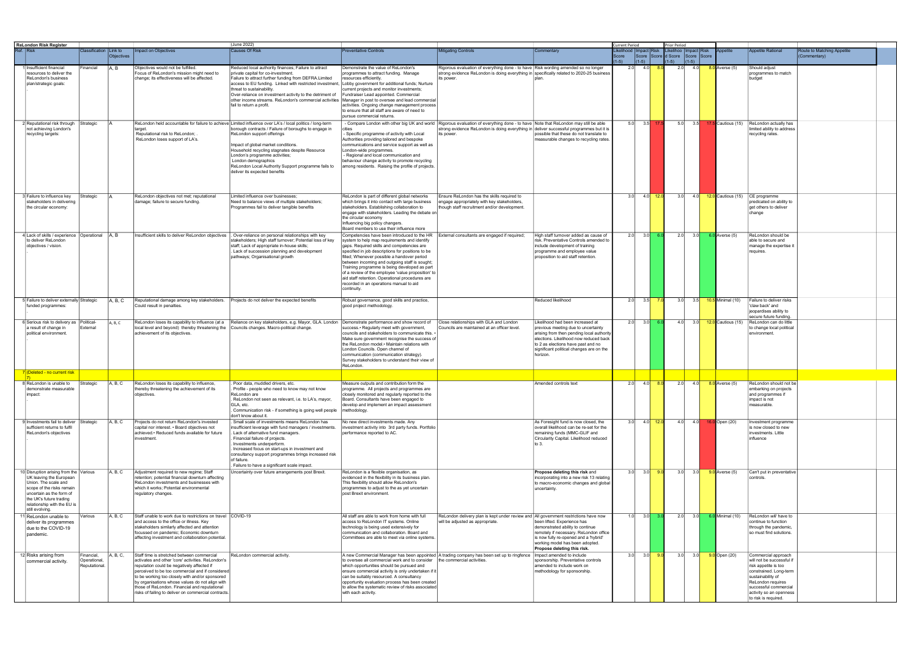| <b>ReLondon Risk Register</b>                                                                                                                                                                                                   |                                             |            |                                                                                                                                                                                                                                                                                                                                                                                                                  | (June 2022)                                                                                                                                                                                                                                                                                                                                                                                                                              |                                                                                                                                                                                                                                                                                                                                                                                                                                                                                                                     |                                                                                                                                                                                                                                                 |                                                                                                                                                                                                                                                              |                        | Current Period  |            | <b>Prior Period</b>                        |             |                            |                                                                                                                                                                                                                          |                            |
|---------------------------------------------------------------------------------------------------------------------------------------------------------------------------------------------------------------------------------|---------------------------------------------|------------|------------------------------------------------------------------------------------------------------------------------------------------------------------------------------------------------------------------------------------------------------------------------------------------------------------------------------------------------------------------------------------------------------------------|------------------------------------------------------------------------------------------------------------------------------------------------------------------------------------------------------------------------------------------------------------------------------------------------------------------------------------------------------------------------------------------------------------------------------------------|---------------------------------------------------------------------------------------------------------------------------------------------------------------------------------------------------------------------------------------------------------------------------------------------------------------------------------------------------------------------------------------------------------------------------------------------------------------------------------------------------------------------|-------------------------------------------------------------------------------------------------------------------------------------------------------------------------------------------------------------------------------------------------|--------------------------------------------------------------------------------------------------------------------------------------------------------------------------------------------------------------------------------------------------------------|------------------------|-----------------|------------|--------------------------------------------|-------------|----------------------------|--------------------------------------------------------------------------------------------------------------------------------------------------------------------------------------------------------------------------|----------------------------|
| Ref. Risk                                                                                                                                                                                                                       | Classification Link to                      |            | mpact on Objectives                                                                                                                                                                                                                                                                                                                                                                                              | <b>Causes Of Risk</b>                                                                                                                                                                                                                                                                                                                                                                                                                    | <b>Preventative Controls</b>                                                                                                                                                                                                                                                                                                                                                                                                                                                                                        | <b>Mitigating Controls</b>                                                                                                                                                                                                                      | Commentary                                                                                                                                                                                                                                                   | ikelihood  Impact Risk |                 |            | Likelihoo   Impact   Risk                  |             | <b>\ppetite</b>            | <b>Appetite Rational</b>                                                                                                                                                                                                 | Route to Matching Appetite |
|                                                                                                                                                                                                                                 |                                             | Objectives |                                                                                                                                                                                                                                                                                                                                                                                                                  |                                                                                                                                                                                                                                                                                                                                                                                                                                          |                                                                                                                                                                                                                                                                                                                                                                                                                                                                                                                     |                                                                                                                                                                                                                                                 |                                                                                                                                                                                                                                                              | Score<br>$(1-5)$       | $(1-5)$         |            | Score Score d Score Score Score<br>$(1-5)$ | $(1-5)$     |                            |                                                                                                                                                                                                                          | (Commentary)               |
| Ilnsufficient financial<br>resources to deliver the<br>ReLondon's business<br>plan/strategic goals:                                                                                                                             | inancial                                    | IA, B      | Objectives would not be fulfilled.<br>Focus of ReLondon's mission might need to<br>change; its effectiveness will be affected.                                                                                                                                                                                                                                                                                   | Reduced local authority finances; Failure to attract<br>private capital for co-investment.<br>Failure to attract further funding from DEFRA.Limited<br>access to EU funding. Linked with restricted investment,<br>threat to sustainability.<br>Over-reliance on investment activity to the detriment of<br>other income streams. ReLondon's commercial activities<br>fail to return a profit.                                           | Demonstrate the value of ReLondon's<br>programmes to attract funding. Manage<br>resources efficiently.<br>Lobby government for additional funds; Nurture<br>current projects and monitor investments;<br>Fundraiser Lead appointed. Commercial<br>Manager in post to oversee and lead commercial<br>activities. Ongoing change management process<br>to ensure that all staff are aware of need to<br>pursue commercial returns.                                                                                    | Rigorous evaluation of everything done - to have Risk wording amended so no longer<br>strong evidence ReLondon is doing everything in specifically related to 2020-25 business<br>its power.                                                    |                                                                                                                                                                                                                                                              | -2.01                  | 4.0             |            | 2.0                                        | 4.0         | 8.0 Averse (5)             | Should adjust<br>programmes to match<br>budget                                                                                                                                                                           |                            |
| 2 Reputational risk through Strategic<br>not achieving London's<br>recycling targets:                                                                                                                                           |                                             |            | target<br>Reputational risk to ReLondon;<br>ReLondon loses support of LA's.                                                                                                                                                                                                                                                                                                                                      | ReLondon held accountable for failure to achieve Limited influence over LA's / local politics / long-term<br>borough contracts / Failure of boroughs to engage in<br>ReLondon support offerings<br>mpact of global market conditions.<br>Household recycling stagnates despite Resource<br>London's programme activities;<br>London demographics<br>ReLondon Local Authority Support programme fails to<br>deliver its expected benefits | - Specific programme of activity with Local<br>Authorities providing tailored and bespoke<br>communications and service support as well as<br>London-wide programmes.<br>- Regional and local communication and<br>behaviour change activity to promote recycling<br>among residents. Raising the profile of projects.                                                                                                                                                                                              | - Compare London with other big UK and world   Rigorous evaluation of everything done - to have   Note that ReLondon may still be able<br>strong evidence ReLondon is doing everything in deliver successful programmes but it is<br>its power. | possible that these do not translate to<br>measurable changes to recycling rates.                                                                                                                                                                            | 5.0                    |                 | $3.5$ 17.5 | 5.0                                        | 3.5         | 17.5 Cautious (15)         | ReLondon actually has<br>limited ability to address<br>recycling rates.                                                                                                                                                  |                            |
| 3 Failure to influence key<br>stakeholders in delivering<br>the circular economy:                                                                                                                                               | Strategic                                   |            | ReLondon objectives not met; reputational<br>damage; failure to secure funding.                                                                                                                                                                                                                                                                                                                                  | Limited influence over businesses;<br>Need to balance views of multiple stakeholders;<br>Programmes fail to deliver tangible benefits                                                                                                                                                                                                                                                                                                    | ReLondon is part of different global networks<br>which brings it into contact with large business<br>stakeholders. Establishing collaboration to<br>engage with stakeholders. Leading the debate on<br>the circular economy<br>Influencing big policy changers.<br>Board members to use their influence more                                                                                                                                                                                                        | Ensure ReLondon has the skills required to<br>engage appropriately with key stakeholders,<br>though staff recruitment and/or development.                                                                                                       |                                                                                                                                                                                                                                                              | 3.0                    |                 | $4.0$ 12.0 | 3.0                                        |             |                            | CE programme<br>predicated on ability to<br>get others to deliver<br>change                                                                                                                                              |                            |
| l Lack of skills / experience<br>to deliver ReLondon<br>objectives / vision.                                                                                                                                                    | Operational                                 | IA.B       | Insufficient skills to deliver ReLondon objectives                                                                                                                                                                                                                                                                                                                                                               | . Over-reliance on personal relationships with key<br>stakeholders; High staff turnover; Potential loss of key<br>staff; Lack of appropriate in-house skills;<br>Lack of succession planning and development<br>athways; Organisational growth                                                                                                                                                                                           | Competencies have been introduced to the HR<br>system to help map requirements and identify<br>gaps. Required skills and competencies are<br>specified in job descriptions for positions to be<br>filled; Whenever possible a handover period<br>between incoming and outgoing staff is sought;<br>Training programme is being developed as part<br>of a review of the employee 'value proposition' to<br>aid staff retention. Operational procedures are<br>recorded in an operations manual to aid<br>continuity. | External consultants are engaged if required;                                                                                                                                                                                                   | High staff turnover added as cause of<br>risk. Preventative Controls amended to<br>include development of training<br>programme and employee value<br>proposition to aid staff retention.                                                                    | 2.0                    | 3.0             |            | 2.0                                        | 3.0         | $6.0$ Averse (5)           | ReLondon should be<br>able to secure and<br>manage the expertise it<br>requires.                                                                                                                                         |                            |
| 5 Failure to deliver externally Strategic<br>funded programmes:                                                                                                                                                                 |                                             | A, B, C    | Reputational damage among key stakeholders.<br>Could result in penalties.                                                                                                                                                                                                                                                                                                                                        | Projects do not deliver the expected benefits                                                                                                                                                                                                                                                                                                                                                                                            | Robust governance, good skills and practice,<br>good project methodology.                                                                                                                                                                                                                                                                                                                                                                                                                                           |                                                                                                                                                                                                                                                 | Reduced likelihood                                                                                                                                                                                                                                           | 2.0                    | 3.5             | $-7.0$     | 3.0                                        |             | 3.5 10.5 Minimal (10)      | Failure to deliver risks<br>'claw back' and<br>jeopardises ability to<br>secure future funding.                                                                                                                          |                            |
| 6 Serious risk to delivery as   Political-<br>a result of change in<br>political environment.                                                                                                                                   | External                                    | A, B, C    | ReLondon loses its capability to influence (at a<br>local level and beyond) thereby threatening the Councils changes. Macro-political change.<br>achievement of its objectives.                                                                                                                                                                                                                                  | Reliance on key stakeholders, e.g. Mayor, GLA. London  Demonstrate performance and show record of  Close relationships with GLA and London                                                                                                                                                                                                                                                                                               | success.• Regularly meet with government,<br>councils and stakeholders to communicate this. •<br>Make sure government recognise the success of<br>the ReLondon model.• Maintain relations with<br>London Councils. Open channel of<br>communication (communication strategy).<br>Survey stakeholders to understand their view of<br>ReLondon.                                                                                                                                                                       | Councils are maintained at an officer level.                                                                                                                                                                                                    | Likelihood had been increased at<br>previous meeting due to uncertainty<br>arising from then pending local authority<br>elections. Likelihood now reduced back<br>to 2 as elections have past and no<br>significant political changes are on the<br>horizon. |                        | $2.0$ $3.0$ 6.0 |            |                                            |             | 4.0 3.0 12.0 Cautious (15) | ReLondon can do little<br>to change local political<br>environment.                                                                                                                                                      |                            |
| 7 (Deleted - no current risk                                                                                                                                                                                                    |                                             |            |                                                                                                                                                                                                                                                                                                                                                                                                                  |                                                                                                                                                                                                                                                                                                                                                                                                                                          |                                                                                                                                                                                                                                                                                                                                                                                                                                                                                                                     |                                                                                                                                                                                                                                                 |                                                                                                                                                                                                                                                              |                        |                 |            |                                            |             |                            |                                                                                                                                                                                                                          |                            |
| 8 ReLondon is unable to<br>demonstrate measurable<br>impact:                                                                                                                                                                    | Strategic                                   | A, B, C    | ReLondon loses its capability to influence.<br>thereby threatening the achievement of its<br>objectives.                                                                                                                                                                                                                                                                                                         | Poor data, muddled drivers, etc.<br>Profile - people who need to know may not know<br>ReLondon are<br>. ReLondon not seen as relevant, i.e. to LA's, mayor,<br>GLA, etc.<br>Communication risk - if something is going well people<br>don't know about it.                                                                                                                                                                               | Measure outputs and contribution form the<br>programme. All projects and programmes are<br>closely monitored and regularly reported to the<br>Board. Consultants have been engaged to<br>develop and implement an impact assessment<br>methodology.                                                                                                                                                                                                                                                                 |                                                                                                                                                                                                                                                 | Amended controls text                                                                                                                                                                                                                                        | 2.0                    |                 | $4.0$ 8.0  | 2.0                                        | 4.0         | 8.0 Averse (5)             | ReLondon should not be<br>embarking on projects<br>and programmes if<br>impact is not<br>measurable.                                                                                                                     |                            |
| 9 Investments fail to deliver<br>sufficient returns to fulfil<br>ReLondon's objectives                                                                                                                                          | Strategic                                   | A, B, C    | Projects do not return ReLondon's invested<br>capital nor interest. • Board objectives not<br>achieved.• Reduced funds available for future<br>investment.                                                                                                                                                                                                                                                       | Small scale of investments means ReLondon has<br>nsufficient leverage with fund managers / investments.<br>Lack of alternative fund managers.<br>Financial failure of projects.<br>Investments underperform.<br>Increased focus on start-ups in investment and<br>consultancy support programmes brings increased risk<br>of failure.<br>. Failure to have a significant scale impact.                                                   | No new direct investments made. Any<br>investment activity into 3rd party funds. Portfolio<br>performance reported to AC.                                                                                                                                                                                                                                                                                                                                                                                           |                                                                                                                                                                                                                                                 | As Foresight fund is now closed, the<br>overall likelihood can be re-set for the<br>remaining funds (MMC-GLIF and<br>Circularity Capital. Likelihood reduced<br>to $3.$                                                                                      | 3.0                    |                 | 4.0 $12.0$ |                                            | $4.0$ $4.0$ | 16.0 Open (20)             | Investment programme<br>is now closed to new<br>investments. Little<br>influence                                                                                                                                         |                            |
| 10 Disruption arising from the Various<br>UK leaving the European<br>Union. The scale and<br>scope of the risks remain<br>uncertain as the form of<br>the UK's future trading<br>relationship with the EU is<br>still evolving. |                                             | A, B, C    | Adjustment required to new regime; Staff<br>retention; potential financial downturn affecting<br>ReLondon investments and businesses with<br>which it works; Potential environmental<br>regulatory changes.                                                                                                                                                                                                      | Uncertainty over future arrangements post Brexit.                                                                                                                                                                                                                                                                                                                                                                                        | ReLondon is a flexible organisation, as<br>evidenced in the flexibility in its business plan.<br>This flexibility should allow ReLondon's<br>programmes to adjust to the as yet uncertain<br>post Brexit environment.                                                                                                                                                                                                                                                                                               |                                                                                                                                                                                                                                                 | Propose deleting this risk and<br>incorporating into a new risk 13 relating<br>to macro-economic changes and global<br>uncertainty.                                                                                                                          | 3.0                    | 3.0             | 9.0        | 3.0                                        |             | 3.0 9.0 Averse (5)         | Can't put in preventative<br>controls.                                                                                                                                                                                   |                            |
| 11 ReLondon unable to<br>deliver its programmes<br>due to the COVID-19<br>pandemic.                                                                                                                                             | Various                                     | A, B, C    | Staff unable to work due to restrictions on travel COVID-19<br>and access to the office or illness. Key<br>stakeholders similarly affected and attention<br>focussed on pandemic; Economic downturn<br>affecting investment and collaboration potential.                                                                                                                                                         |                                                                                                                                                                                                                                                                                                                                                                                                                                          | All staff are able to work from home with full<br>access to ReLondon IT systems. Online<br>technology is being used extensively for<br>communication and collaboration. Board and<br>Committees are able to meet via online systems.                                                                                                                                                                                                                                                                                | ReLondon delivery plan is kept under review and All government restrictions have now<br>will be adjusted as appropriate.                                                                                                                        | been lifted. Experience has<br>demonstrated ability to continue<br>remotely if necessary. ReLondon office<br>is now fully re-opened and a 'hybrid'<br>working model has been adopted.<br>Propose deleting this risk.                                         | 1.0                    |                 | $3.0$ 3.0  | 2.0                                        | 3.0         | 6.0 Minimal (10)           | ReLondon will have to<br>continue to function<br>through the pandemic,<br>so must find solutions.                                                                                                                        |                            |
| 12 Risks arising from<br>commercial activity                                                                                                                                                                                    | Financial,<br>Operational,<br>Reputational. | A, B, C,   | Staff time is stretched between commercial<br>activates and other 'core' activities. ReLondon's<br>reputation could be negatively affected if<br>perceived to be too commercial and if considered<br>to be working too closely with and/or sponsored<br>by organisations whose values do not align with<br>those of ReLondon. Financial and reputational<br>risks of failing to deliver on commercial contracts. | ReLondon commercial activity.                                                                                                                                                                                                                                                                                                                                                                                                            | to oversee all commercial work and to consider<br>which opportunities should be pursued and<br>ensure commercial activity is only undertaken if it<br>can be suitably resourced. A consultancy<br>opportunity evaluation process has been created<br>to allow the systematic review of risks associated<br>with each activity.                                                                                                                                                                                      | A new Commercial Manager has been appointed  A trading company has been set up to ringfence Impact amended to include<br>the commercial activities.                                                                                             | sponsorship. Preventative controls<br>amended to include work on<br>methodology for sponsorship.                                                                                                                                                             | 3.0                    |                 | $3.0$ 9.0  | 3.0                                        |             | 3.0 9.0 Open (20)          | Commercial approach<br>will not be successful if<br>risk appetite is too<br>constrained. Long-term<br>sustainability of<br>ReLondon requires<br>successful commercial<br>activity so an openness<br>to risk is required. |                            |